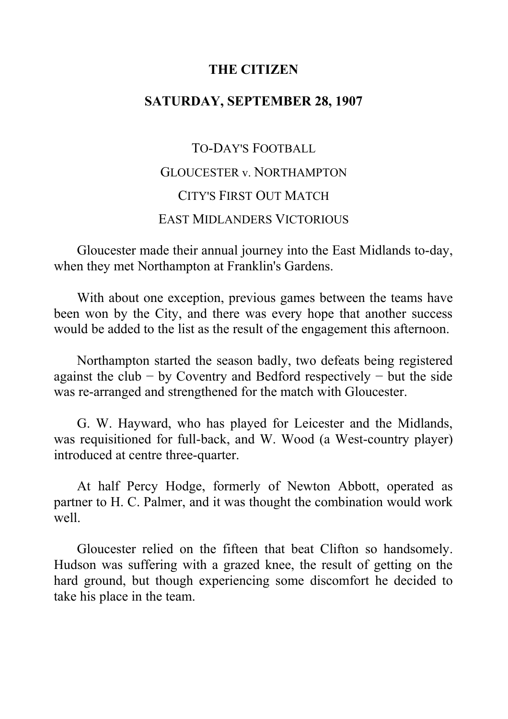## **THE CITIZEN**

# **SATURDAY, SEPTEMBER 28, 1907**

TO-DAY'S FOOTBALL GLOUCESTER v. NORTHAMPTON CITY'S FIRST OUT MATCH EAST MIDLANDERS VICTORIOUS

Gloucester made their annual journey into the East Midlands to-day, when they met Northampton at Franklin's Gardens.

With about one exception, previous games between the teams have been won by the City, and there was every hope that another success would be added to the list as the result of the engagement this afternoon.

Northampton started the season badly, two defeats being registered against the club  $-$  by Coventry and Bedford respectively  $-$  but the side was re-arranged and strengthened for the match with Gloucester.

G. W. Hayward, who has played for Leicester and the Midlands, was requisitioned for full-back, and W. Wood (a West-country player) introduced at centre three-quarter.

At half Percy Hodge, formerly of Newton Abbott, operated as partner to H. C. Palmer, and it was thought the combination would work well.

Gloucester relied on the fifteen that beat Clifton so handsomely. Hudson was suffering with a grazed knee, the result of getting on the hard ground, but though experiencing some discomfort he decided to take his place in the team.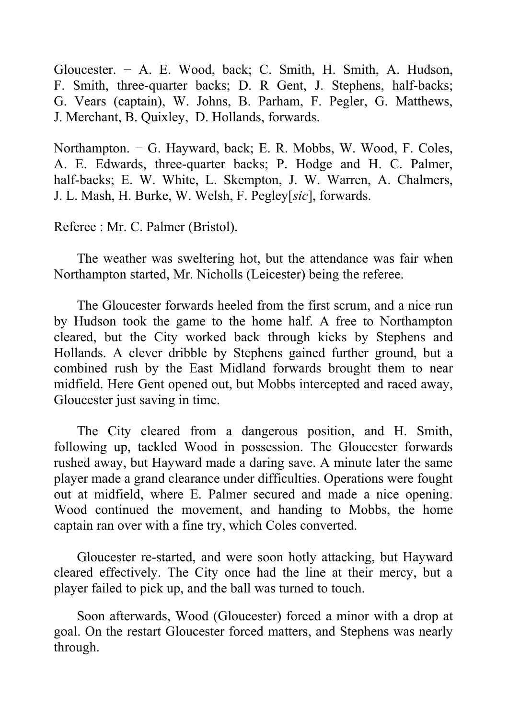Gloucester. − A. E. Wood, back; C. Smith, H. Smith, A. Hudson, F. Smith, three-quarter backs; D. R Gent, J. Stephens, half-backs; G. Vears (captain), W. Johns, B. Parham, F. Pegler, G. Matthews, J. Merchant, B. Quixley, D. Hollands, forwards.

Northampton. − G. Hayward, back; E. R. Mobbs, W. Wood, F. Coles, A. E. Edwards, three-quarter backs; P. Hodge and H. C. Palmer, half-backs; E. W. White, L. Skempton, J. W. Warren, A. Chalmers, J. L. Mash, H. Burke, W. Welsh, F. Pegley[*sic*], forwards.

Referee : Mr. C. Palmer (Bristol).

The weather was sweltering hot, but the attendance was fair when Northampton started, Mr. Nicholls (Leicester) being the referee.

The Gloucester forwards heeled from the first scrum, and a nice run by Hudson took the game to the home half. A free to Northampton cleared, but the City worked back through kicks by Stephens and Hollands. A clever dribble by Stephens gained further ground, but a combined rush by the East Midland forwards brought them to near midfield. Here Gent opened out, but Mobbs intercepted and raced away, Gloucester just saving in time.

The City cleared from a dangerous position, and H. Smith, following up, tackled Wood in possession. The Gloucester forwards rushed away, but Hayward made a daring save. A minute later the same player made a grand clearance under difficulties. Operations were fought out at midfield, where E. Palmer secured and made a nice opening. Wood continued the movement, and handing to Mobbs, the home captain ran over with a fine try, which Coles converted.

Gloucester re-started, and were soon hotly attacking, but Hayward cleared effectively. The City once had the line at their mercy, but a player failed to pick up, and the ball was turned to touch.

Soon afterwards, Wood (Gloucester) forced a minor with a drop at goal. On the restart Gloucester forced matters, and Stephens was nearly through.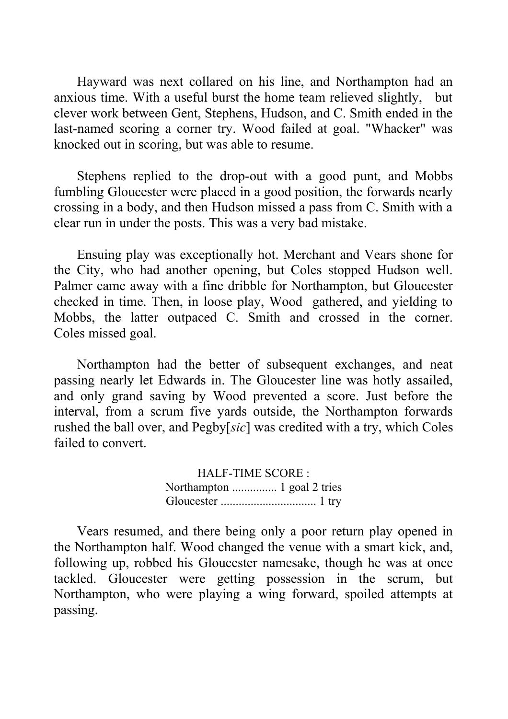Hayward was next collared on his line, and Northampton had an anxious time. With a useful burst the home team relieved slightly, but clever work between Gent, Stephens, Hudson, and C. Smith ended in the last-named scoring a corner try. Wood failed at goal. "Whacker" was knocked out in scoring, but was able to resume.

Stephens replied to the drop-out with a good punt, and Mobbs fumbling Gloucester were placed in a good position, the forwards nearly crossing in a body, and then Hudson missed a pass from C. Smith with a clear run in under the posts. This was a very bad mistake.

Ensuing play was exceptionally hot. Merchant and Vears shone for the City, who had another opening, but Coles stopped Hudson well. Palmer came away with a fine dribble for Northampton, but Gloucester checked in time. Then, in loose play, Wood gathered, and yielding to Mobbs, the latter outpaced C. Smith and crossed in the corner. Coles missed goal.

Northampton had the better of subsequent exchanges, and neat passing nearly let Edwards in. The Gloucester line was hotly assailed, and only grand saving by Wood prevented a score. Just before the interval, from a scrum five yards outside, the Northampton forwards rushed the ball over, and Pegby[*sic*] was credited with a try, which Coles failed to convert.

> HALF-TIME SCORE : Northampton ............... 1 goal 2 tries Gloucester ................................ 1 try

Vears resumed, and there being only a poor return play opened in the Northampton half. Wood changed the venue with a smart kick, and, following up, robbed his Gloucester namesake, though he was at once tackled. Gloucester were getting possession in the scrum, but Northampton, who were playing a wing forward, spoiled attempts at passing.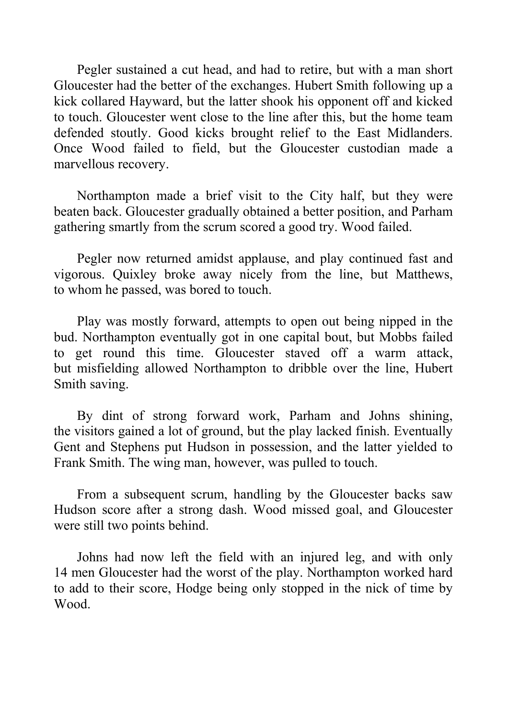Pegler sustained a cut head, and had to retire, but with a man short Gloucester had the better of the exchanges. Hubert Smith following up a kick collared Hayward, but the latter shook his opponent off and kicked to touch. Gloucester went close to the line after this, but the home team defended stoutly. Good kicks brought relief to the East Midlanders. Once Wood failed to field, but the Gloucester custodian made a marvellous recovery.

Northampton made a brief visit to the City half, but they were beaten back. Gloucester gradually obtained a better position, and Parham gathering smartly from the scrum scored a good try. Wood failed.

Pegler now returned amidst applause, and play continued fast and vigorous. Quixley broke away nicely from the line, but Matthews, to whom he passed, was bored to touch.

Play was mostly forward, attempts to open out being nipped in the bud. Northampton eventually got in one capital bout, but Mobbs failed to get round this time. Gloucester staved off a warm attack, but misfielding allowed Northampton to dribble over the line, Hubert Smith saving.

By dint of strong forward work, Parham and Johns shining, the visitors gained a lot of ground, but the play lacked finish. Eventually Gent and Stephens put Hudson in possession, and the latter yielded to Frank Smith. The wing man, however, was pulled to touch.

From a subsequent scrum, handling by the Gloucester backs saw Hudson score after a strong dash. Wood missed goal, and Gloucester were still two points behind.

Johns had now left the field with an injured leg, and with only 14 men Gloucester had the worst of the play. Northampton worked hard to add to their score, Hodge being only stopped in the nick of time by Wood.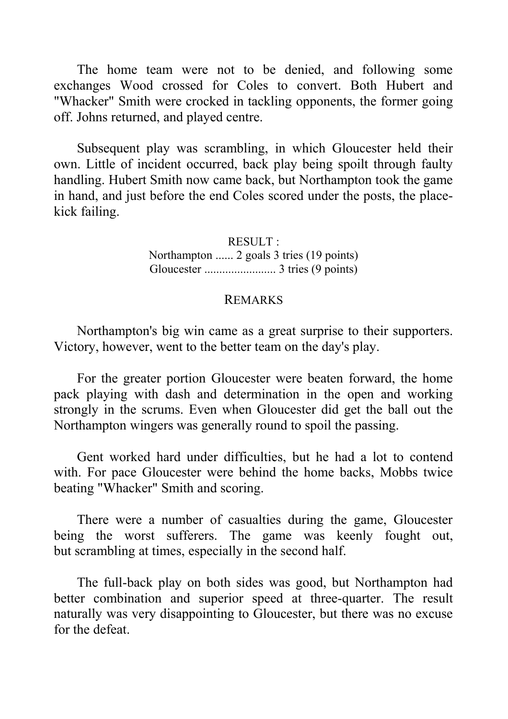The home team were not to be denied, and following some exchanges Wood crossed for Coles to convert. Both Hubert and "Whacker" Smith were crocked in tackling opponents, the former going off. Johns returned, and played centre.

Subsequent play was scrambling, in which Gloucester held their own. Little of incident occurred, back play being spoilt through faulty handling. Hubert Smith now came back, but Northampton took the game in hand, and just before the end Coles scored under the posts, the placekick failing.

> RESULT : Northampton ...... 2 goals 3 tries (19 points) Gloucester ........................ 3 tries (9 points)

### REMARKS

Northampton's big win came as a great surprise to their supporters. Victory, however, went to the better team on the day's play.

For the greater portion Gloucester were beaten forward, the home pack playing with dash and determination in the open and working strongly in the scrums. Even when Gloucester did get the ball out the Northampton wingers was generally round to spoil the passing.

Gent worked hard under difficulties, but he had a lot to contend with. For pace Gloucester were behind the home backs, Mobbs twice beating "Whacker" Smith and scoring.

There were a number of casualties during the game, Gloucester being the worst sufferers. The game was keenly fought out, but scrambling at times, especially in the second half.

The full-back play on both sides was good, but Northampton had better combination and superior speed at three-quarter. The result naturally was very disappointing to Gloucester, but there was no excuse for the defeat.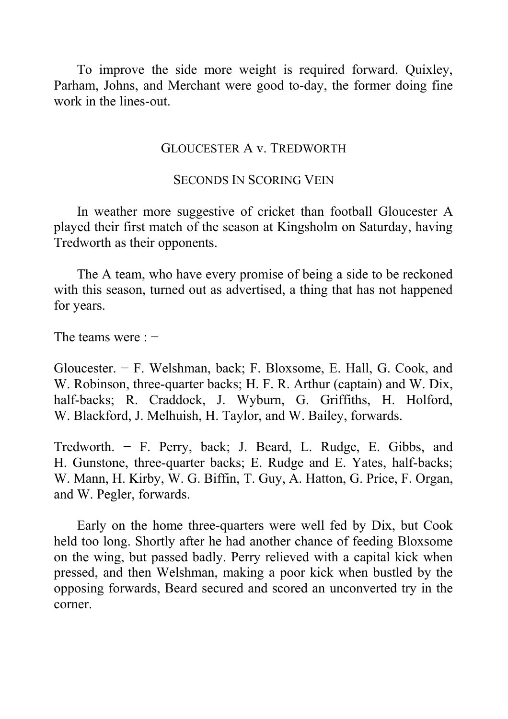To improve the side more weight is required forward. Quixley, Parham, Johns, and Merchant were good to-day, the former doing fine work in the lines-out.

### GLOUCESTER A v. TREDWORTH

# SECONDS IN SCORING VEIN

In weather more suggestive of cricket than football Gloucester A played their first match of the season at Kingsholm on Saturday, having Tredworth as their opponents.

The A team, who have every promise of being a side to be reckoned with this season, turned out as advertised, a thing that has not happened for years.

The teams were : −

Gloucester. − F. Welshman, back; F. Bloxsome, E. Hall, G. Cook, and W. Robinson, three-quarter backs; H. F. R. Arthur (captain) and W. Dix, half-backs; R. Craddock, J. Wyburn, G. Griffiths, H. Holford, W. Blackford, J. Melhuish, H. Taylor, and W. Bailey, forwards.

Tredworth. − F. Perry, back; J. Beard, L. Rudge, E. Gibbs, and H. Gunstone, three-quarter backs; E. Rudge and E. Yates, half-backs; W. Mann, H. Kirby, W. G. Biffin, T. Guy, A. Hatton, G. Price, F. Organ, and W. Pegler, forwards.

Early on the home three-quarters were well fed by Dix, but Cook held too long. Shortly after he had another chance of feeding Bloxsome on the wing, but passed badly. Perry relieved with a capital kick when pressed, and then Welshman, making a poor kick when bustled by the opposing forwards, Beard secured and scored an unconverted try in the corner.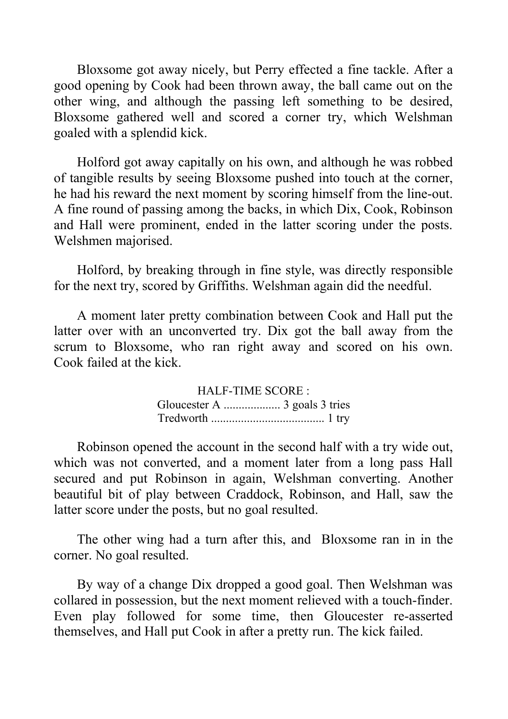Bloxsome got away nicely, but Perry effected a fine tackle. After a good opening by Cook had been thrown away, the ball came out on the other wing, and although the passing left something to be desired, Bloxsome gathered well and scored a corner try, which Welshman goaled with a splendid kick.

Holford got away capitally on his own, and although he was robbed of tangible results by seeing Bloxsome pushed into touch at the corner, he had his reward the next moment by scoring himself from the line-out. A fine round of passing among the backs, in which Dix, Cook, Robinson and Hall were prominent, ended in the latter scoring under the posts. Welshmen majorised.

Holford, by breaking through in fine style, was directly responsible for the next try, scored by Griffiths. Welshman again did the needful.

A moment later pretty combination between Cook and Hall put the latter over with an unconverted try. Dix got the ball away from the scrum to Bloxsome, who ran right away and scored on his own. Cook failed at the kick.

> HALF-TIME SCORE : Gloucester A ................... 3 goals 3 tries Tredworth ...................................... 1 try

Robinson opened the account in the second half with a try wide out, which was not converted, and a moment later from a long pass Hall secured and put Robinson in again, Welshman converting. Another beautiful bit of play between Craddock, Robinson, and Hall, saw the latter score under the posts, but no goal resulted.

The other wing had a turn after this, and Bloxsome ran in in the corner. No goal resulted.

By way of a change Dix dropped a good goal. Then Welshman was collared in possession, but the next moment relieved with a touch-finder. Even play followed for some time, then Gloucester re-asserted themselves, and Hall put Cook in after a pretty run. The kick failed.